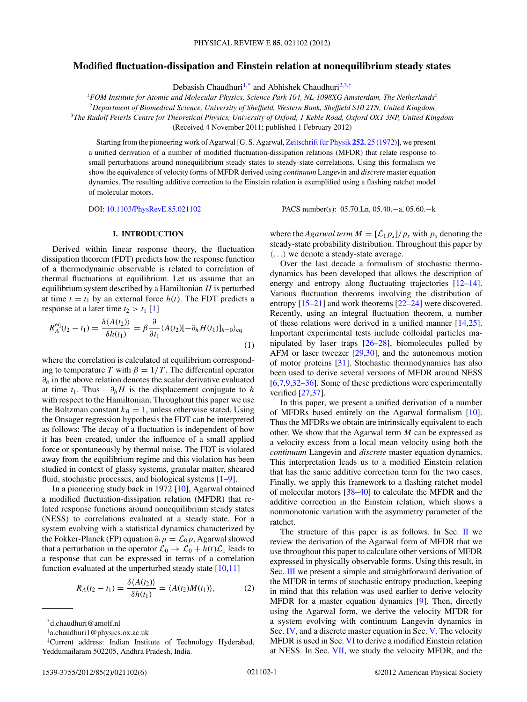## <span id="page-0-0"></span>**Modified fluctuation-dissipation and Einstein relation at nonequilibrium steady states**

Debasish Chaudhuri<sup>1,\*</sup> and Abhishek Chaudhuri<sup>2,3,†</sup>

<sup>1</sup>*FOM Institute for Atomic and Molecular Physics, Science Park 104, NL-1098XG Amsterdam, The Netherlands*‡

<sup>2</sup>*Department of Biomedical Science, University of Sheffield, Western Bank, Sheffield S10 2TN, United Kingdom*

<sup>3</sup>*The Rudolf Peierls Centre for Theoretical Physics, University of Oxford, 1 Keble Road, Oxford OX1 3NP, United Kingdom* (Received 4 November 2011; published 1 February 2012)

Starting from the pioneering work of Agarwal [G. S. Agarwal, Zeitschrift für Physik 252, 25 (1972)], we present a unified derivation of a number of modified fluctuation-dissipation relations (MFDR) that relate response to small perturbations around nonequilibrium steady states to steady-state correlations. Using this formalism we show the equivalence of velocity forms of MFDR derived using *continuum* Langevin and *discrete* master equation dynamics. The resulting additive correction to the Einstein relation is exemplified using a flashing ratchet model of molecular motors.

DOI: [10.1103/PhysRevE.85.021102](http://dx.doi.org/10.1103/PhysRevE.85.021102) PACS number(s): 05*.*70*.*Ln, 05*.*40*.*−a, 05*.*60*.*−k

#### **I. INTRODUCTION**

Derived within linear response theory, the fluctuation dissipation theorem (FDT) predicts how the response function of a thermodynamic observable is related to correlation of thermal fluctuations at equilibrium. Let us assume that an equilibrium system described by a Hamiltonian *H* is perturbed at time  $t = t_1$  by an external force  $h(t)$ . The FDT predicts a response at a later time  $t_2 > t_1$  [\[1\]](#page-5-0)

$$
R_A^{\text{eq}}(t_2 - t_1) = \frac{\delta \langle A(t_2) \rangle}{\delta h(t_1)} = \beta \frac{\partial}{\partial t_1} \langle A(t_2) [-\partial_h H(t_1)]_{h=0} \rangle_{\text{eq}}
$$
(1)

where the correlation is calculated at equilibrium corresponding to temperature *T* with  $\beta = 1/T$ . The differential operator *∂h* in the above relation denotes the scalar derivative evaluated at time  $t_1$ . Thus  $-\partial_h H$  is the displacement conjugate to *h* with respect to the Hamiltonian. Throughout this paper we use the Boltzman constant  $k_B = 1$ , unless otherwise stated. Using the Onsager regression hypothesis the FDT can be interpreted as follows: The decay of a fluctuation is independent of how it has been created, under the influence of a small applied force or spontaneously by thermal noise. The FDT is violated away from the equilibrium regime and this violation has been studied in context of glassy systems, granular matter, sheared fluid, stochastic processes, and biological systems [\[1–9\]](#page-5-0).

In a pioneering study back in 1972 [\[10\]](#page-5-0), Agarwal obtained a modified fluctuation-dissipation relation (MFDR) that related response functions around nonequilibrium steady states (NESS) to correlations evaluated at a steady state. For a system evolving with a statistical dynamics characterized by the Fokker-Planck (FP) equation  $\partial_t p = \mathcal{L}_0 p$ , Agarwal showed that a perturbation in the operator  $\mathcal{L}_0 \rightarrow \mathcal{L}_0 + h(t)\mathcal{L}_1$  leads to a response that can be expressed in terms of a correlation function evaluated at the unperturbed steady state  $[10,11]$ 

$$
R_A(t_2 - t_1) = \frac{\delta \langle A(t_2) \rangle}{\delta h(t_1)} = \langle A(t_2) M(t_1) \rangle, \tag{2}
$$

where the *Agarwal term*  $M = [\mathcal{L}_1 p_s]/p_s$  with  $p_s$  denoting the steady-state probability distribution. Throughout this paper by -*...* we denote a steady-state average.

Over the last decade a formalism of stochastic thermodynamics has been developed that allows the description of energy and entropy along fluctuating trajectories [\[12–14\]](#page-5-0). Various fluctuation theorems involving the distribution of entropy [\[15–21\]](#page-5-0) and work theorems [\[22–24\]](#page-5-0) were discovered. Recently, using an integral fluctuation theorem, a number of these relations were derived in a unified manner [\[14,25\]](#page-5-0). Important experimental tests include colloidal particles manipulated by laser traps  $[26-28]$ , biomolecules pulled by AFM or laser tweezer [\[29,30\]](#page-5-0), and the autonomous motion of motor proteins [\[31\]](#page-5-0). Stochastic thermodynamics has also been used to derive several versions of MFDR around NESS [\[6,7,9,32–36\]](#page-5-0). Some of these predictions were experimentally verified [\[27,37\]](#page-5-0).

In this paper, we present a unified derivation of a number of MFDRs based entirely on the Agarwal formalism [\[10\]](#page-5-0). Thus the MFDRs we obtain are intrinsically equivalent to each other. We show that the Agarwal term *M* can be expressed as a velocity excess from a local mean velocity using both the *continuum* Langevin and *discrete* master equation dynamics. This interpretation leads us to a modified Einstein relation that has the same additive correction term for the two cases. Finally, we apply this framework to a flashing ratchet model of molecular motors [\[38–40\]](#page-5-0) to calculate the MFDR and the additive correction in the Einstein relation, which shows a nonmonotonic variation with the asymmetry parameter of the ratchet.

The structure of this paper is as follows. In Sec.  $\mathbf{II}$  $\mathbf{II}$  $\mathbf{II}$  we review the derivation of the Agarwal form of MFDR that we use throughout this paper to calculate other versions of MFDR expressed in physically observable forms. Using this result, in Sec. [III](#page-1-0) we present a simple and straightforward derivation of the MFDR in terms of stochastic entropy production, keeping in mind that this relation was used earlier to derive velocity MFDR for a master equation dynamics [\[9\]](#page-5-0). Then, directly using the Agarwal form, we derive the velocity MFDR for a system evolving with continuum Langevin dynamics in Sec. [IV,](#page-1-0) and a discrete master equation in Sec. [V.](#page-2-0) The velocity MFDR is used in Sec. [VI](#page-3-0) to derive a modified Einstein relation at NESS. In Sec. [VII,](#page-3-0) we study the velocity MFDR, and the

<sup>\*</sup>d.chaudhuri@amolf.nl

<sup>†</sup> a.chaudhuri1@physics.ox.ac.uk

<sup>‡</sup> Current address: Indian Institute of Technology Hyderabad, Yeddumailaram 502205, Andhra Pradesh, India.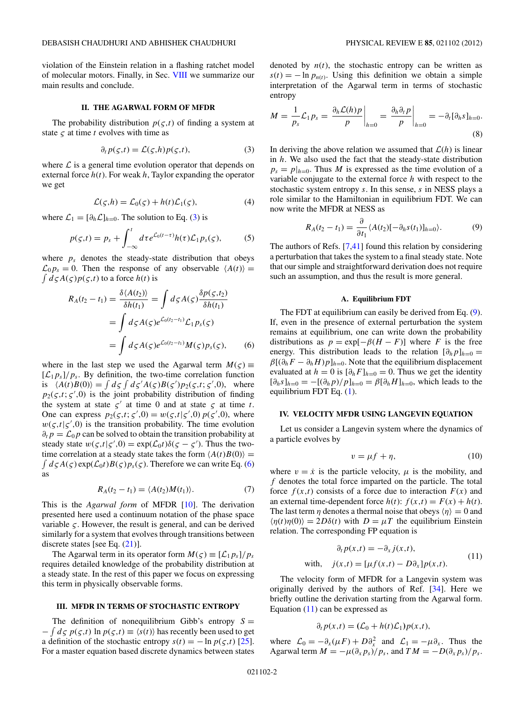<span id="page-1-0"></span>violation of the Einstein relation in a flashing ratchet model of molecular motors. Finally, in Sec. [VIII](#page-4-0) we summarize our main results and conclude.

#### **II. THE AGARWAL FORM OF MFDR**

The probability distribution  $p(\varsigma,t)$  of finding a system at state *ς* at time *t* evolves with time as

$$
\partial_t p(\varsigma, t) = \mathcal{L}(\varsigma, h) p(\varsigma, t), \tag{3}
$$

where  $\mathcal L$  is a general time evolution operator that depends on external force  $h(t)$ . For weak  $h$ , Taylor expanding the operator we get

$$
\mathcal{L}(\zeta, h) = \mathcal{L}_0(\zeta) + h(t)\mathcal{L}_1(\zeta),\tag{4}
$$

where  $\mathcal{L}_1 = [\partial_h \mathcal{L}]_{h=0}$ . The solution to Eq. (3) is

$$
p(\varsigma,t) = p_s + \int_{-\infty}^t d\tau e^{\mathcal{L}_0(t-\tau)} h(\tau) \mathcal{L}_1 p_s(\varsigma), \tag{5}
$$

where  $p_s$  denotes the steady-state distribution that obeys  $\mathcal{L}_0 p_s = 0$ . Then the response of any observable  $\langle A(t) \rangle =$  $\int d\varsigma A(\varsigma)p(\varsigma,t)$  to a force  $h(t)$  is

$$
R_A(t_2 - t_1) = \frac{\delta \langle A(t_2) \rangle}{\delta h(t_1)} = \int d\zeta A(\zeta) \frac{\delta p(\zeta, t_2)}{\delta h(t_1)}
$$
  
= 
$$
\int d\zeta A(\zeta) e^{\mathcal{L}_0(t_2 - t_1)} \mathcal{L}_1 p_s(\zeta)
$$
  
= 
$$
\int d\zeta A(\zeta) e^{\mathcal{L}_0(t_2 - t_1)} M(\zeta) p_s(\zeta), \qquad (6)
$$

where in the last step we used the Agarwal term  $M(\varsigma)$  =  $[\mathcal{L}_1 p_s]/p_s$ . By definition, the two-time correlation function is  $\langle A(t)B(0) \rangle = \int d\zeta \int d\zeta' A(\zeta)B(\zeta')p_2(\zeta,t;\zeta',0)$ , where  $p_2(\varsigma,t;\varsigma',0)$  is the joint probability distribution of finding the system at state  $\zeta'$  at time 0 and at state  $\zeta$  at time *t*. One can express  $p_2(\varsigma, t; \varsigma', 0) = w(\varsigma, t | \varsigma', 0) p(\varsigma', 0)$ , where  $w(\varsigma,t|\varsigma',0)$  is the transition probability. The time evolution  $\partial_t p = \mathcal{L}_0 p$  can be solved to obtain the transition probability at steady state  $w(\varsigma, t | \varsigma', 0) = \exp(\mathcal{L}_0 t) \delta(\varsigma - \varsigma')$ . Thus the two- $\int d\zeta A(\zeta) \exp(\mathcal{L}_0 t) B(\zeta) p_s(\zeta)$ . Therefore we can write Eq. (6) time correlation at a steady state takes the form  $\langle A(t)B(0) \rangle =$ as

$$
R_A(t_2 - t_1) = \langle A(t_2)M(t_1) \rangle. \tag{7}
$$

This is the *Agarwal form* of MFDR [\[10\]](#page-5-0). The derivation presented here used a continuum notation of the phase space variable  $\varsigma$ . However, the result is general, and can be derived similarly for a system that evolves through transitions between discrete states [see Eq.  $(21)$ ].

The Agarwal term in its operator form  $M(\varsigma) \equiv [\mathcal{L}_1 p_{\rm s}]/p_{\rm s}$ requires detailed knowledge of the probability distribution at a steady state. In the rest of this paper we focus on expressing this term in physically observable forms.

#### **III. MFDR IN TERMS OF STOCHASTIC ENTROPY**

The definition of nonequilibrium Gibb's entropy  $S =$  $-\int d\zeta p(\zeta,t) \ln p(\zeta,t) \equiv \langle s(t) \rangle$  has recently been used to get a definition of the stochastic entropy  $s(t) = -\ln p(\varsigma, t)$  [\[25\]](#page-5-0). For a master equation based discrete dynamics between states denoted by  $n(t)$ , the stochastic entropy can be written as  $s(t) = -\ln p_{n(t)}$ . Using this definition we obtain a simple interpretation of the Agarwal term in terms of stochastic entropy

$$
M = \frac{1}{p_s} \mathcal{L}_1 p_s = \left. \frac{\partial_h \mathcal{L}(h) p}{p} \right|_{h=0} = \left. \frac{\partial_h \partial_t p}{p} \right|_{h=0} = -\partial_t [\partial_h s]_{h=0}.
$$
\n(8)

In deriving the above relation we assumed that  $\mathcal{L}(h)$  is linear in *h*. We also used the fact that the steady-state distribution  $p_s = p|_{h=0}$ . Thus *M* is expressed as the time evolution of a variable conjugate to the external force *h* with respect to the stochastic system entropy *s*. In this sense, *s* in NESS plays a role similar to the Hamiltonian in equilibrium FDT. We can now write the MFDR at NESS as

$$
R_A(t_2 - t_1) = \frac{\partial}{\partial t_1} \langle A(t_2) [-\partial_h s(t_1)]_{h=0} \rangle.
$$
 (9)

The authors of Refs. [\[7,41\]](#page-5-0) found this relation by considering a perturbation that takes the system to a final steady state. Note that our simple and straightforward derivation does not require such an assumption, and thus the result is more general.

#### **A. Equilibrium FDT**

The FDT at equilibrium can easily be derived from Eq. (9). If, even in the presence of external perturbation the system remains at equilibrium, one can write down the probability distributions as  $p = \exp[-\beta(H - F)]$  where *F* is the free energy. This distribution leads to the relation  $[\partial_h p]_{h=0}$  =  $\beta$ [ $(\partial_h F - \partial_h H)p$ ]<sub>*h*=0</sub>. Note that the equilibrium displacement evaluated at  $h = 0$  is  $[\partial_h F]_{h=0} = 0$ . Thus we get the identity  $[\partial_h s]_{h=0} = -[(\partial_h p)/p]_{h=0} = \beta[\partial_h H]_{h=0}$ , which leads to the equilibrium FDT Eq. [\(1\)](#page-0-0).

#### **IV. VELOCITY MFDR USING LANGEVIN EQUATION**

Let us consider a Langevin system where the dynamics of a particle evolves by

$$
v = \mu f + \eta,\tag{10}
$$

where  $v = \dot{x}$  is the particle velocity,  $\mu$  is the mobility, and *f* denotes the total force imparted on the particle. The total force  $f(x,t)$  consists of a force due to interaction  $F(x)$  and an external time-dependent force  $h(t)$ :  $f(x,t) = F(x) + h(t)$ . The last term  $\eta$  denotes a thermal noise that obeys  $\langle \eta \rangle = 0$  and  $\langle \eta(t)\eta(0) \rangle = 2D\delta(t)$  with  $D = \mu T$  the equilibrium Einstein relation. The corresponding FP equation is

$$
\partial_t p(x,t) = -\partial_x j(x,t),
$$
  
with,  $j(x,t) = [\mu f(x,t) - D\partial_x] p(x,t).$  (11)

The velocity form of MFDR for a Langevin system was originally derived by the authors of Ref. [\[34\]](#page-5-0). Here we briefly outline the derivation starting from the Agarwal form. Equation  $(11)$  can be expressed as

$$
\partial_t p(x,t) = (\mathcal{L}_0 + h(t)\mathcal{L}_1)p(x,t),
$$

where  $\mathcal{L}_0 = -\partial_x(\mu F) + D\partial_x^2$  and  $\mathcal{L}_1 = -\mu \partial_x$ . Thus the Agarwal term  $M = -\mu(\partial_x p_s)/p_s$ , and  $TM = -D(\partial_x p_s)/p_s$ .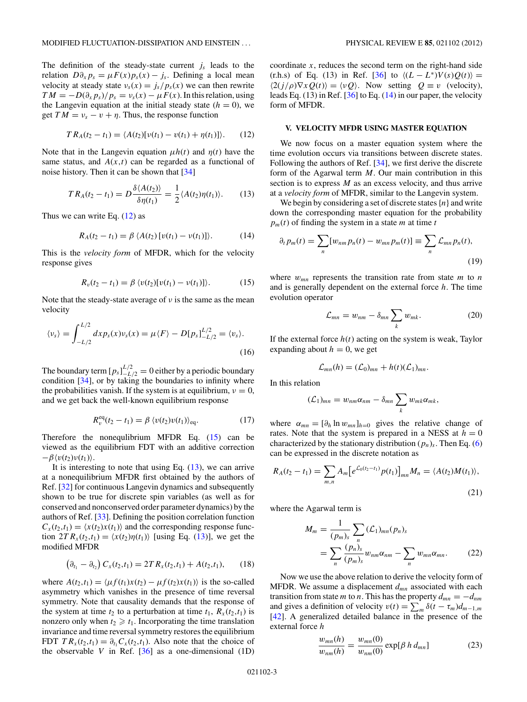<span id="page-2-0"></span>The definition of the steady-state current  $j_s$  leads to the relation  $D\partial_x p_s = \mu F(x) p_s(x) - j_s$ . Defining a local mean velocity at steady state  $v_s(x) = \frac{j_s}{p_s(x)}$  we can then rewrite  $TM = -D(\partial_x p_s)/p_s = v_s(x) - \mu F(x)$ . In this relation, using the Langevin equation at the initial steady state  $(h = 0)$ , we get  $TM = v_s - v + \eta$ . Thus, the response function

$$
TR_A(t_2 - t_1) = \langle A(t_2)[v(t_1) - v(t_1) + \eta(t_1)] \rangle.
$$
 (12)

Note that in the Langevin equation  $\mu h(t)$  and  $\eta(t)$  have the same status, and  $A(x,t)$  can be regarded as a functional of noise history. Then it can be shown that [\[34\]](#page-5-0)

$$
TR_A(t_2 - t_1) = D \frac{\delta \langle A(t_2) \rangle}{\delta \eta(t_1)} = \frac{1}{2} \langle A(t_2) \eta(t_1) \rangle.
$$
 (13)

Thus we can write Eq.  $(12)$  as

$$
R_A(t_2 - t_1) = \beta \langle A(t_2) [v(t_1) - v(t_1)] \rangle.
$$
 (14)

This is the *velocity form* of MFDR, which for the velocity response gives

$$
R_v(t_2 - t_1) = \beta \langle v(t_2)[v(t_1) - v(t_1)] \rangle.
$$
 (15)

Note that the steady-state average of *ν* is the same as the mean velocity

$$
\langle v_s \rangle = \int_{-L/2}^{L/2} dx p_s(x) v_s(x) = \mu \langle F \rangle - D[p_s]_{-L/2}^{L/2} = \langle v_s \rangle.
$$
\n(16)

The boundary term  $[p_s]_{-L/2}^{L/2} = 0$  either by a periodic boundary condition  $[34]$ , or by taking the boundaries to infinity where the probabilities vanish. If the system is at equilibrium,  $\nu = 0$ , and we get back the well-known equilibrium response

$$
R_v^{\text{eq}}(t_2 - t_1) = \beta \, \langle v(t_2)v(t_1) \rangle_{\text{eq}}.\tag{17}
$$

Therefore the nonequlibrium MFDR Eq.  $(15)$  can be viewed as the equilibrium FDT with an additive correction  $-\beta \langle v(t_2)v(t_1)\rangle$ .

It is interesting to note that using Eq.  $(13)$ , we can arrive at a nonequilibrium MFDR first obtained by the authors of Ref. [\[32\]](#page-5-0) for continuous Langevin dynamics and subsequently shown to be true for discrete spin variables (as well as for conserved and nonconserved order parameter dynamics) by the authors of Ref. [\[33\]](#page-5-0). Defining the position correlation function  $C_x(t_2,t_1) = \langle x(t_2)x(t_1) \rangle$  and the corresponding response function  $2T R_x(t_2,t_1) = \langle x(t_2) \eta(t_1) \rangle$  [using Eq. (13)], we get the modified MFDR

$$
\left(\partial_{t_1} - \partial_{t_2}\right) C_x(t_2, t_1) = 2TR_x(t_2, t_1) + A(t_2, t_1),\tag{18}
$$

where  $A(t_2,t_1) = \langle \mu f(t_1)x(t_2) - \mu f(t_2)x(t_1) \rangle$  is the so-called asymmetry which vanishes in the presence of time reversal symmetry. Note that causality demands that the response of the system at time  $t_2$  to a perturbation at time  $t_1$ ,  $R_x(t_2,t_1)$  is nonzero only when  $t_2 \geq t_1$ . Incorporating the time translation invariance and time reversal symmetry restores the equilibrium FDT  $TR_x(t_2,t_1) = \partial_{t_1} C_x(t_2,t_1)$ . Also note that the choice of the observable  $V$  in Ref.  $[36]$  as a one-dimensional  $(1D)$ 

coordinate  $x$ , reduces the second term on the right-hand side  $(\text{r.h.s})$  of Eq. (13) in Ref. [\[36\]](#page-5-0) to  $\langle (L - L^*)V(s)Q(t) \rangle =$  $\langle 2(j/\rho)\nabla xQ(t)\rangle = \langle vQ\rangle$ . Now setting  $Q \equiv v$  (velocity), leads Eq.  $(13)$  in Ref.  $[36]$  to Eq.  $(14)$  in our paper, the velocity form of MFDR.

#### **V. VELOCITY MFDR USING MASTER EQUATION**

We now focus on a master equation system where the time evolution occurs via transitions between discrete states. Following the authors of Ref. [\[34\]](#page-5-0), we first derive the discrete form of the Agarwal term *M*. Our main contribution in this section is to express *M* as an excess velocity, and thus arrive at a *velocity form* of MFDR, similar to the Langevin system.

We begin by considering a set of discrete states{*n*} and write down the corresponding master equation for the probability  $p_m(t)$  of finding the system in a state *m* at time *t* 

$$
\partial_t p_m(t) = \sum_n [w_{nm} p_n(t) - w_{mn} p_m(t)] \equiv \sum_n \mathcal{L}_{mn} p_n(t),
$$
\n(19)

where  $w_{mn}$  represents the transition rate from state  $m$  to  $n$ and is generally dependent on the external force *h*. The time evolution operator

$$
\mathcal{L}_{mn} = w_{nm} - \delta_{mn} \sum_{k} w_{mk}.
$$
 (20)

If the external force  $h(t)$  acting on the system is weak, Taylor expanding about  $h = 0$ , we get

$$
\mathcal{L}_{mn}(h) = (\mathcal{L}_0)_{mn} + h(t)(\mathcal{L}_1)_{mn}.
$$

In this relation

$$
(\mathcal{L}_1)_{mn} = w_{nm}\alpha_{nm} - \delta_{mn}\sum_k w_{mk}\alpha_{mk},
$$

where  $\alpha_{mn} = [\partial_h \ln w_{mn}]_{h=0}$  gives the relative change of rates. Note that the system is prepared in a NESS at  $h = 0$ characterized by the stationary distribution  $(p_n)_s$ . Then Eq. [\(6\)](#page-1-0) can be expressed in the discrete notation as

$$
R_A(t_2 - t_1) = \sum_{m,n} A_m \left[ e^{\mathcal{L}_0(t_2 - t_1)} p(t_1) \right]_{mn} M_n = \langle A(t_2) M(t_1) \rangle,
$$
\n(21)

where the Agarwal term is

$$
M_m = \frac{1}{(p_m)_s} \sum_n (\mathcal{L}_1)_{mn} (p_n)_s
$$
  
= 
$$
\sum_n \frac{(p_n)_s}{(p_m)_s} w_{nm} \alpha_{nm} - \sum_n w_{mn} \alpha_{mn}.
$$
 (22)

Now we use the above relation to derive the velocity form of MFDR. We assume a displacement *dmn* associated with each transition from state *m* to *n*. This has the property  $d_{mn} = -d_{nm}$ and gives a definition of velocity  $v(t) = \sum_{m} \delta(t - \tau_m) d_{m-1,m}$ [\[42\]](#page-5-0). A generalized detailed balance in the presence of the external force *h*

$$
\frac{w_{mn}(h)}{w_{nm}(h)} = \frac{w_{mn}(0)}{w_{nm}(0)} \exp[\beta h \, d_{mn}] \tag{23}
$$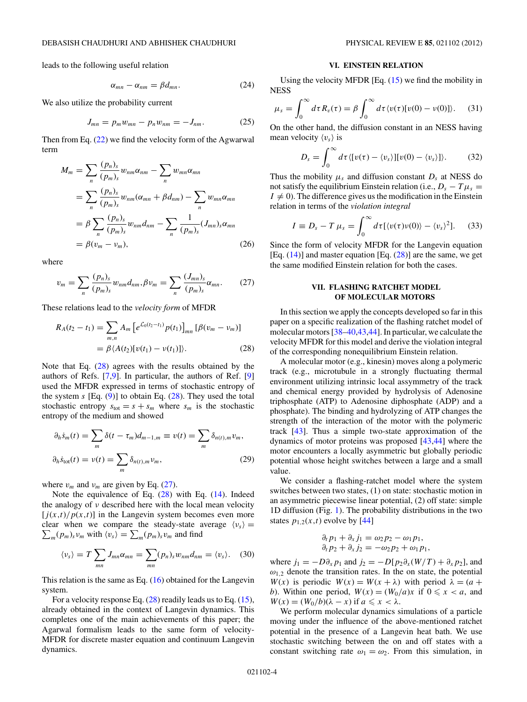<span id="page-3-0"></span>leads to the following useful relation

$$
\alpha_{mn} - \alpha_{nm} = \beta d_{mn}.\tag{24}
$$

We also utilize the probability current

$$
J_{mn} = p_m w_{mn} - p_n w_{nm} = -J_{nm}.
$$
 (25)

Then from Eq. [\(22\)](#page-2-0) we find the velocity form of the Agwarwal term

$$
M_m = \sum_{n} \frac{(p_n)_s}{(p_m)_s} w_{nm} \alpha_{nm} - \sum_{n} w_{mn} \alpha_{mn}
$$
  
= 
$$
\sum_{n} \frac{(p_n)_s}{(p_m)_s} w_{nm} (\alpha_{mn} + \beta d_{nm}) - \sum_{n} w_{mn} \alpha_{mn}
$$
  
= 
$$
\beta \sum_{n} \frac{(p_n)_s}{(p_m)_s} w_{nm} d_{nm} - \sum_{n} \frac{1}{(p_m)_s} (J_{mn})_s \alpha_{mn}
$$
  
= 
$$
\beta (v_m - v_m), \qquad (26)
$$

where

$$
v_m = \sum_{n} \frac{(p_n)_s}{(p_m)_s} w_{nm} d_{nm}, \beta v_m = \sum_{n} \frac{(J_{mn})_s}{(p_m)_s} \alpha_{mn}.
$$
 (27)

These relations lead to the *velocity form* of MFDR

$$
R_A(t_2 - t_1) = \sum_{m,n} A_m \left[ e^{\mathcal{L}_0(t_2 - t_1)} p(t_1) \right]_{mn} \left[ \beta(v_m - v_m) \right]
$$
  
=  $\beta \langle A(t_2) [v(t_1) - v(t_1)] \rangle.$  (28)

Note that Eq. (28) agrees with the results obtained by the authors of Refs. [\[7,9\]](#page-5-0). In particular, the authors of Ref. [\[9\]](#page-5-0) used the MFDR expressed in terms of stochastic entropy of the system  $s$  [Eq.  $(9)$ ] to obtain Eq.  $(28)$ . They used the total stochastic entropy  $s_{\text{tot}} = s + s_m$  where  $s_m$  is the stochastic entropy of the medium and showed

$$
\partial_h \dot{s}_m(t) = \sum_m \delta(t - \tau_m) d_{m-1,m} \equiv v(t) = \sum_m \delta_{n(t),m} v_m,
$$
  

$$
\partial_h \dot{s}_{\text{tot}}(t) = v(t) = \sum_m \delta_{n(t),m} v_m,
$$
 (29)

where  $v_m$  and  $v_m$  are given by Eq. (27).

Note the equivalence of Eq. (28) with Eq. [\(14\)](#page-2-0). Indeed the analogy of *ν* described here with the local mean velocity  $[j(x,t)/p(x,t)]$  in the Langevin system becomes even more clear when we compare the steady-state average  $\langle v_s \rangle$  =  $\sum_{m} (p_m)_s v_m$  with  $\langle v_s \rangle = \sum_{m} (p_m)_s v_m$  and find

$$
\langle v_s \rangle = T \sum_{mn} J_{mn} \alpha_{mn} = \sum_{mn} (p_n)_s w_{nm} d_{nm} = \langle v_s \rangle.
$$
 (30)

This relation is the same as Eq.  $(16)$  obtained for the Langevin system.

For a velocity response Eq.  $(28)$  readily leads us to Eq.  $(15)$ , already obtained in the context of Langevin dynamics. This completes one of the main achievements of this paper; the Agarwal formalism leads to the same form of velocity-MFDR for discrete master equation and continuum Langevin dynamics.

#### **VI. EINSTEIN RELATION**

Using the velocity MFDR [Eq. [\(15\)](#page-2-0) we find the mobility in NESS

$$
\mu_s = \int_0^\infty d\tau R_v(\tau) = \beta \int_0^\infty d\tau \langle v(\tau) [v(0) - v(0)] \rangle. \tag{31}
$$

On the other hand, the diffusion constant in an NESS having mean velocity  $\langle v_s \rangle$  is

$$
D_s = \int_0^\infty d\tau \langle [v(\tau) - \langle v_s \rangle][v(0) - \langle v_s \rangle] \rangle. \tag{32}
$$

Thus the mobility  $\mu_s$  and diffusion constant  $D_s$  at NESS do not satisfy the equilibrium Einstein relation (i.e.,  $D_s - T \mu_s =$  $I \neq 0$ ). The difference gives us the modification in the Einstein relation in terms of the *violation integral*

$$
I \equiv D_s - T \mu_s = \int_0^\infty d\tau [\langle v(\tau)v(0) \rangle - \langle v_s \rangle^2]. \tag{33}
$$

Since the form of velocity MFDR for the Langevin equation [Eq.  $(14)$ ] and master equation [Eq.  $(28)$ ] are the same, we get the same modified Einstein relation for both the cases.

### **VII. FLASHING RATCHET MODEL OF MOLECULAR MOTORS**

In this section we apply the concepts developed so far in this paper on a specific realization of the flashing ratchet model of molecular motors [\[38–40,43,44\]](#page-5-0). In particular, we calculate the velocity MFDR for this model and derive the violation integral of the corresponding nonequilibrium Einstein relation.

A molecular motor (e.g., kinesin) moves along a polymeric track (e.g., microtubule in a strongly fluctuating thermal environment utilizing intrinsic local assymmetry of the track and chemical energy provided by hydrolysis of Adenosine triphosphate (ATP) to Adenosine diphosphate (ADP) and a phosphate). The binding and hydrolyzing of ATP changes the strength of the interaction of the motor with the polymeric track [\[43\]](#page-5-0). Thus a simple two-state approximation of the dynamics of motor proteins was proposed [\[43,44\]](#page-5-0) where the motor encounters a locally asymmetric but globally periodic potential whose height switches between a large and a small value.

We consider a flashing-ratchet model where the system switches between two states, (1) on state: stochastic motion in an asymmetric piecewise linear potential, (2) off state: simple 1D diffusion (Fig. [1\)](#page-4-0). The probability distributions in the two states  $p_{1,2}(x,t)$  evolve by [\[44\]](#page-5-0)

$$
\begin{aligned}\n\partial_t p_1 + \partial_x j_1 &= \omega_2 p_2 - \omega_1 p_1, \\
\partial_t p_2 + \partial_x j_2 &= -\omega_2 p_2 + \omega_1 p_1,\n\end{aligned}
$$

where  $j_1 = -D\partial_x p_1$  and  $j_2 = -D[p_2\partial_x(W/T) + \partial_x p_2]$ , and  $\omega_{1,2}$  denote the transition rates. In the on state, the potential *W*(*x*) is periodic *W*(*x*) = *W*(*x* +  $\lambda$ ) with period  $\lambda = (a +$ *b*). Within one period,  $W(x) = (W_0/a)x$  if  $0 \le x < a$ , and  $W(x) = (W_0/b)(\lambda - x)$  if  $a \le x < \lambda$ .

We perform molecular dynamics simulations of a particle moving under the influence of the above-mentioned ratchet potential in the presence of a Langevin heat bath. We use stochastic switching between the on and off states with a constant switching rate  $\omega_1 = \omega_2$ . From this simulation, in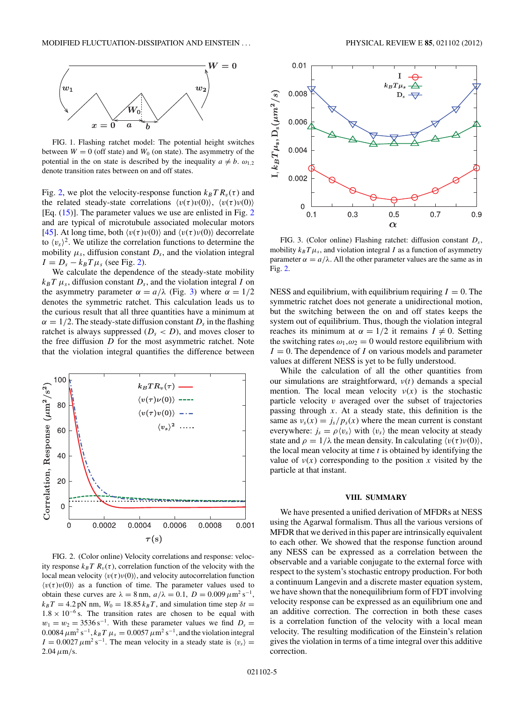<span id="page-4-0"></span>

FIG. 1. Flashing ratchet model: The potential height switches between  $W = 0$  (off state) and  $W_0$  (on state). The asymmetry of the potential in the on state is described by the inequality  $a \neq b$ .  $\omega_{1,2}$ denote transition rates between on and off states.

Fig. 2, we plot the velocity-response function  $k_B T R_v(\tau)$  and the related steady-state correlations  $\langle v(\tau)v(0) \rangle$ ,  $\langle v(\tau)v(0) \rangle$ [Eq. [\(15\)](#page-2-0)]. The parameter values we use are enlisted in Fig. 2 and are typical of microtubule associated molecular motors [\[45\]](#page-5-0). At long time, both  $\langle v(\tau)v(0) \rangle$  and  $\langle v(\tau)v(0) \rangle$  decorrelate to  $\langle v_s \rangle^2$ . We utilize the correlation functions to determine the mobility  $\mu_s$ , diffusion constant  $D_s$ , and the violation integral  $I = D_s - k_B T \mu_s$  (see Fig. 2).

We calculate the dependence of the steady-state mobility  $k_B T \mu_s$ , diffusion constant  $D_s$ , and the violation integral *I* on the asymmetry parameter  $\alpha = a/\lambda$  (Fig. 3) where  $\alpha = 1/2$ denotes the symmetric ratchet. This calculation leads us to the curious result that all three quantities have a minimum at  $\alpha = 1/2$ . The steady-state diffusion constant  $D_s$  in the flashing ratchet is always suppressed  $(D_s < D)$ , and moves closer to the free diffusion *D* for the most asymmetric ratchet. Note that the violation integral quantifies the difference between



FIG. 2. (Color online) Velocity correlations and response: velocity response  $k_B T R_v(\tau)$ , correlation function of the velocity with the local mean velocity  $\langle v(\tau)v(0) \rangle$ , and velocity autocorrelation function  $\langle v(\tau)v(0) \rangle$  as a function of time. The parameter values used to obtain these curves are  $\lambda = 8$  nm,  $a/\lambda = 0.1$ ,  $D = 0.009 \,\mu \text{m}^2 \text{ s}^{-1}$ ,  $k_B T = 4.2 \text{ pN nm}, W_0 = 18.85 k_B T$ , and simulation time step  $\delta t =$  $1.8 \times 10^{-6}$  s. The transition rates are chosen to be equal with  $w_1 = w_2 = 3536 \,\mathrm{s}^{-1}$ . With these parameter values we find  $D_s =$  $0.0084 \ \mu \text{m}^2 \text{ s}^{-1}, k_B T \ \mu_s = 0.0057 \ \mu \text{m}^2 \text{ s}^{-1},$  and the violation integral  $I = 0.0027 \mu m^2 s^{-1}$ . The mean velocity in a steady state is  $\langle v_s \rangle =$  $2.04 \mu m/s$ .



FIG. 3. (Color online) Flashing ratchet: diffusion constant *Ds*, mobility  $k_B T \mu_s$ , and violation integral *I* as a function of asymmetry parameter  $\alpha = a/\lambda$ . All the other parameter values are the same as in Fig. 2.

NESS and equilibrium, with equilibrium requiring  $I = 0$ . The symmetric ratchet does not generate a unidirectional motion, but the switching between the on and off states keeps the system out of equilibrium. Thus, though the violation integral reaches its minimum at  $\alpha = 1/2$  it remains  $I \neq 0$ . Setting the switching rates  $\omega_1, \omega_2 = 0$  would restore equilibrium with  $I = 0$ . The dependence of *I* on various models and parameter values at different NESS is yet to be fully understood.

While the calculation of all the other quantities from our simulations are straightforward, *ν*(*t*) demands a special mention. The local mean velocity  $v(x)$  is the stochastic particle velocity *v* averaged over the subset of trajectories passing through *x*. At a steady state, this definition is the same as  $v_s(x) = \frac{j_s}{p_s(x)}$  where the mean current is constant everywhere:  $j_s = \rho \langle v_s \rangle$  with  $\langle v_s \rangle$  the mean velocity at steady state and  $\rho = 1/\lambda$  the mean density. In calculating  $\langle v(\tau)v(0) \rangle$ , the local mean velocity at time *t* is obtained by identifying the value of  $v(x)$  corresponding to the position *x* visited by the particle at that instant.

# **VIII. SUMMARY**

We have presented a unified derivation of MFDRs at NESS using the Agarwal formalism. Thus all the various versions of MFDR that we derived in this paper are intrinsically equivalent to each other. We showed that the response function around any NESS can be expressed as a correlation between the observable and a variable conjugate to the external force with respect to the system's stochastic entropy production. For both a continuum Langevin and a discrete master equation system, we have shown that the nonequilibrium form of FDT involving velocity response can be expressed as an equilibrium one and an additive correction. The correction in both these cases is a correlation function of the velocity with a local mean velocity. The resulting modification of the Einstein's relation gives the violation in terms of a time integral over this additive correction.